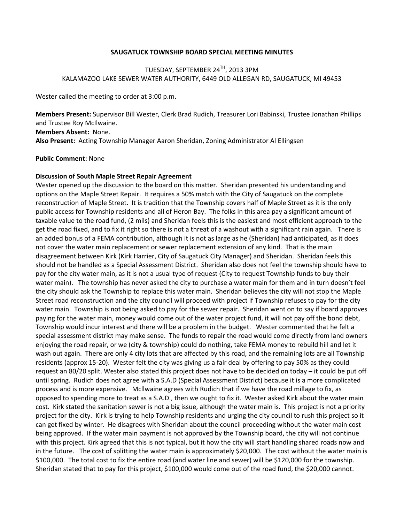## **SAUGATUCK TOWNSHIP BOARD SPECIAL MEETING MINUTES**

## TUESDAY, SEPTEMBER 24TH, 2013 3PM KALAMAZOO LAKE SEWER WATER AUTHORITY, 6449 OLD ALLEGAN RD, SAUGATUCK, MI 49453

Wester called the meeting to order at 3:00 p.m.

**Members Present:** Supervisor Bill Wester, Clerk Brad Rudich, Treasurer Lori Babinski, Trustee Jonathan Phillips and Trustee Roy McIlwaine.

**Members Absent:** None.

**Also Present:** Acting Township Manager Aaron Sheridan, Zoning Administrator Al Ellingsen

## **Public Comment:** None

## **Discussion of South Maple Street Repair Agreement**

Wester opened up the discussion to the board on this matter. Sheridan presented his understanding and options on the Maple Street Repair. It requires a 50% match with the City of Saugatuck on the complete reconstruction of Maple Street. It is tradition that the Township covers half of Maple Street as it is the only public access for Township residents and all of Heron Bay. The folks in this area pay a significant amount of taxable value to the road fund, (2 mils) and Sheridan feels this is the easiest and most efficient approach to the get the road fixed, and to fix it right so there is not a threat of a washout with a significant rain again. There is an added bonus of a FEMA contribution, although it is not as large as he (Sheridan) had anticipated, as it does not cover the water main replacement or sewer replacement extension of any kind. That is the main disagreement between Kirk (Kirk Harrier, City of Saugatuck City Manager) and Sheridan. Sheridan feels this should not be handled as a Special Assessment District. Sheridan also does not feel the township should have to pay for the city water main, as it is not a usual type of request (City to request Township funds to buy their water main). The township has never asked the city to purchase a water main for them and in turn doesn't feel the city should ask the Township to replace this water main. Sheridan believes the city will not stop the Maple Street road reconstruction and the city council will proceed with project if Township refuses to pay for the city water main. Township is not being asked to pay for the sewer repair. Sheridan went on to say if board approves paying for the water main, money would come out of the water project fund, it will not pay off the bond debt, Township would incur interest and there will be a problem in the budget. Wester commented that he felt a special assessment district may make sense. The funds to repair the road would come directly from land owners enjoying the road repair, or we (city & township) could do nothing, take FEMA money to rebuild hill and let it wash out again. There are only 4 city lots that are affected by this road, and the remaining lots are all Township residents (approx 15-20). Wester felt the city was giving us a fair deal by offering to pay 50% as they could request an 80/20 split. Wester also stated this project does not have to be decided on today – it could be put off until spring. Rudich does not agree with a S.A.D (Special Assessment District) because it is a more complicated process and is more expensive. Mcllwaine agrees with Rudich that if we have the road millage to fix, as opposed to spending more to treat as a S.A.D., then we ought to fix it. Wester asked Kirk about the water main cost. Kirk stated the sanitation sewer is not a big issue, although the water main is. This project is not a priority project for the city. Kirk is trying to help Township residents and urging the city council to rush this project so it can get fixed by winter. He disagrees with Sheridan about the council proceeding without the water main cost being approved. If the water main payment is not approved by the Township board, the city will not continue with this project. Kirk agreed that this is not typical, but it how the city will start handling shared roads now and in the future. The cost of splitting the water main is approximately \$20,000. The cost without the water main is \$100,000. The total cost to fix the entire road (and water line and sewer) will be \$120,000 for the township. Sheridan stated that to pay for this project, \$100,000 would come out of the road fund, the \$20,000 cannot.